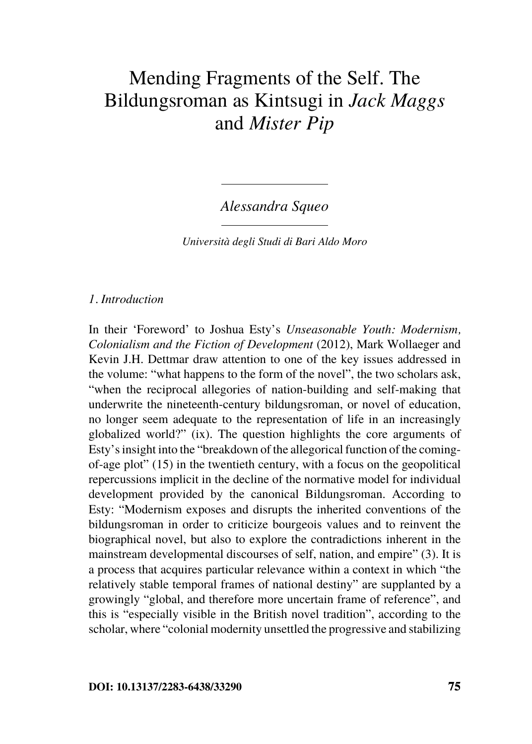# Mending Fragments of the Self. The Bildungsroman as Kintsugi in *Jack Maggs*  and *Mister Pip*

*Alessandra Squeo*

*Università degli Studi di Bari Aldo Moro*

## *1. Introduction*

In their 'Foreword' to Joshua Esty's *Unseasonable Youth: Modernism, Colonialism and the Fiction of Development* (2012), Mark Wollaeger and Kevin J.H. Dettmar draw attention to one of the key issues addressed in the volume: "what happens to the form of the novel", the two scholars ask, "when the reciprocal allegories of nation-building and self-making that underwrite the nineteenth-century bildungsroman, or novel of education, no longer seem adequate to the representation of life in an increasingly globalized world?" (ix). The question highlights the core arguments of Esty's insight into the "breakdown of the allegorical function of the comingof-age plot" (15) in the twentieth century, with a focus on the geopolitical repercussions implicit in the decline of the normative model for individual development provided by the canonical Bildungsroman. According to Esty: "Modernism exposes and disrupts the inherited conventions of the bildungsroman in order to criticize bourgeois values and to reinvent the biographical novel, but also to explore the contradictions inherent in the mainstream developmental discourses of self, nation, and empire" (3). It is a process that acquires particular relevance within a context in which "the relatively stable temporal frames of national destiny" are supplanted by a growingly "global, and therefore more uncertain frame of reference", and this is "especially visible in the British novel tradition", according to the scholar, where "colonial modernity unsettled the progressive and stabilizing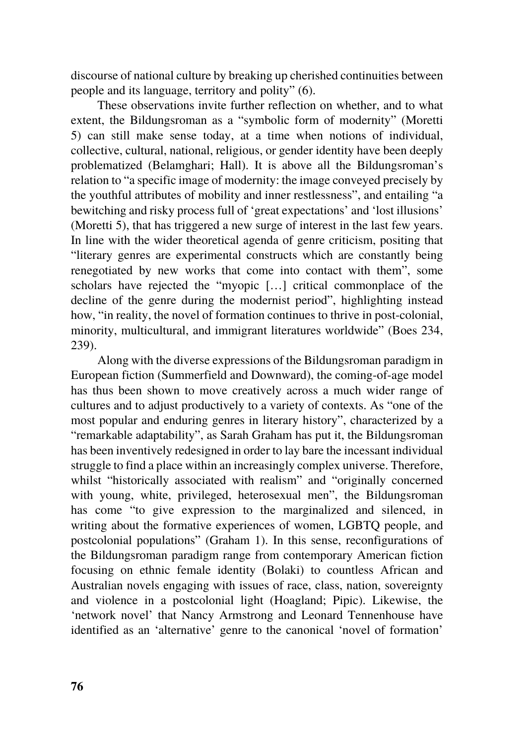discourse of national culture by breaking up cherished continuities between people and its language, territory and polity" (6).

These observations invite further reflection on whether, and to what extent, the Bildungsroman as a "symbolic form of modernity" (Moretti 5) can still make sense today, at a time when notions of individual, collective, cultural, national, religious, or gender identity have been deeply problematized (Belamghari; Hall). It is above all the Bildungsroman's relation to "a specific image of modernity: the image conveyed precisely by the youthful attributes of mobility and inner restlessness", and entailing "a bewitching and risky process full of 'great expectations' and 'lost illusions' (Moretti 5), that has triggered a new surge of interest in the last few years. In line with the wider theoretical agenda of genre criticism, positing that "literary genres are experimental constructs which are constantly being renegotiated by new works that come into contact with them", some scholars have rejected the "myopic […] critical commonplace of the decline of the genre during the modernist period", highlighting instead how, "in reality, the novel of formation continues to thrive in post-colonial, minority, multicultural, and immigrant literatures worldwide" (Boes 234, 239).

Along with the diverse expressions of the Bildungsroman paradigm in European fiction (Summerfield and Downward), the coming-of-age model has thus been shown to move creatively across a much wider range of cultures and to adjust productively to a variety of contexts. As "one of the most popular and enduring genres in literary history", characterized by a "remarkable adaptability", as Sarah Graham has put it, the Bildungsroman has been inventively redesigned in order to lay bare the incessant individual struggle to find a place within an increasingly complex universe. Therefore, whilst "historically associated with realism" and "originally concerned with young, white, privileged, heterosexual men", the Bildungsroman has come "to give expression to the marginalized and silenced, in writing about the formative experiences of women, LGBTQ people, and postcolonial populations" (Graham 1). In this sense, reconfigurations of the Bildungsroman paradigm range from contemporary American fiction focusing on ethnic female identity (Bolaki) to countless African and Australian novels engaging with issues of race, class, nation, sovereignty and violence in a postcolonial light (Hoagland; Pipic). Likewise, the 'network novel' that Nancy Armstrong and Leonard Tennenhouse have identified as an 'alternative' genre to the canonical 'novel of formation'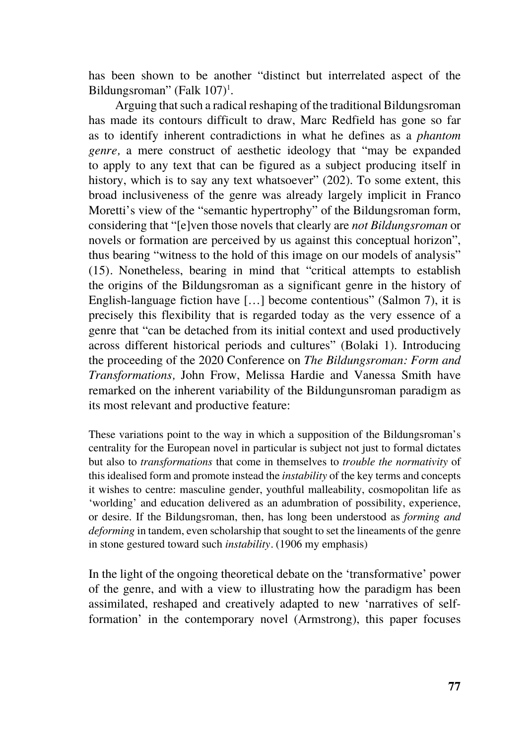has been shown to be another "distinct but interrelated aspect of the Bildungsroman" (Falk 107)<sup>1</sup>.

Arguing that such a radical reshaping of the traditional Bildungsroman has made its contours difficult to draw, Marc Redfield has gone so far as to identify inherent contradictions in what he defines as a *phantom genre,* a mere construct of aesthetic ideology that "may be expanded to apply to any text that can be figured as a subject producing itself in history, which is to say any text whatsoever" (202). To some extent, this broad inclusiveness of the genre was already largely implicit in Franco Moretti's view of the "semantic hypertrophy" of the Bildungsroman form, considering that "[e]ven those novels that clearly are *not Bildungsroman* or novels or formation are perceived by us against this conceptual horizon", thus bearing "witness to the hold of this image on our models of analysis" (15)*.* Nonetheless, bearing in mind that "critical attempts to establish the origins of the Bildungsroman as a significant genre in the history of English-language fiction have […] become contentious" (Salmon 7), it is precisely this flexibility that is regarded today as the very essence of a genre that "can be detached from its initial context and used productively across different historical periods and cultures" (Bolaki 1). Introducing the proceeding of the 2020 Conference on *The Bildungsroman: Form and Transformations,* John Frow, Melissa Hardie and Vanessa Smith have remarked on the inherent variability of the Bildungunsroman paradigm as its most relevant and productive feature:

These variations point to the way in which a supposition of the Bildungsroman's centrality for the European novel in particular is subject not just to formal dictates but also to *transformations* that come in themselves to *trouble the normativity* of this idealised form and promote instead the *instability* of the key terms and concepts it wishes to centre: masculine gender, youthful malleability, cosmopolitan life as 'worlding' and education delivered as an adumbration of possibility, experience, or desire. If the Bildungsroman, then, has long been understood as *forming and deforming* in tandem, even scholarship that sought to set the lineaments of the genre in stone gestured toward such *instability.* (1906 my emphasis)

In the light of the ongoing theoretical debate on the 'transformative' power of the genre, and with a view to illustrating how the paradigm has been assimilated, reshaped and creatively adapted to new 'narratives of selfformation' in the contemporary novel (Armstrong), this paper focuses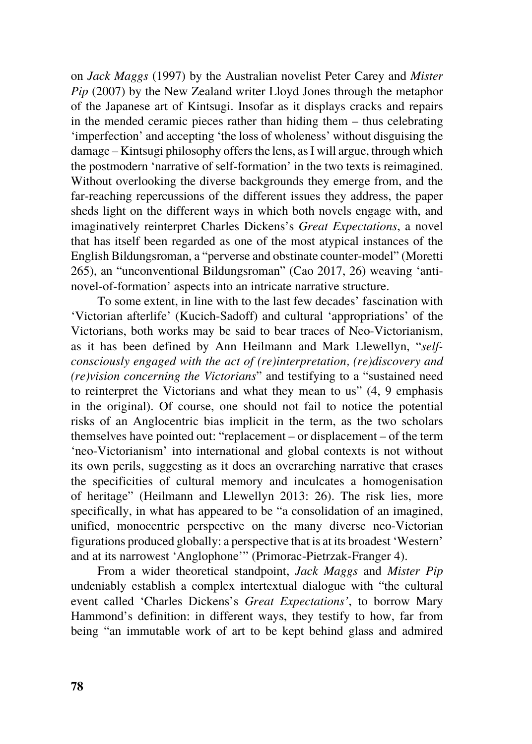on *Jack Maggs* (1997) by the Australian novelist Peter Carey and *Mister Pip* (2007) by the New Zealand writer Lloyd Jones through the metaphor of the Japanese art of Kintsugi. Insofar as it displays cracks and repairs in the mended ceramic pieces rather than hiding them – thus celebrating 'imperfection' and accepting 'the loss of wholeness' without disguising the damage – Kintsugi philosophy offers the lens, as I will argue, through which the postmodern 'narrative of self-formation' in the two texts is reimagined. Without overlooking the diverse backgrounds they emerge from, and the far-reaching repercussions of the different issues they address, the paper sheds light on the different ways in which both novels engage with, and imaginatively reinterpret Charles Dickens's *Great Expectations*, a novel that has itself been regarded as one of the most atypical instances of the English Bildungsroman, a "perverse and obstinate counter-model" (Moretti 265), an "unconventional Bildungsroman" (Cao 2017, 26) weaving 'antinovel-of-formation' aspects into an intricate narrative structure.

To some extent, in line with to the last few decades' fascination with 'Victorian afterlife' (Kucich-Sadoff) and cultural 'appropriations' of the Victorians, both works may be said to bear traces of Neo-Victorianism, as it has been defined by Ann Heilmann and Mark Llewellyn, "*selfconsciously engaged with the act of (re)interpretation, (re)discovery and (re)vision concerning the Victorians*" and testifying to a "sustained need to reinterpret the Victorians and what they mean to us" (4, 9 emphasis in the original). Of course, one should not fail to notice the potential risks of an Anglocentric bias implicit in the term, as the two scholars themselves have pointed out: "replacement – or displacement – of the term 'neo-Victorianism' into international and global contexts is not without its own perils, suggesting as it does an overarching narrative that erases the specificities of cultural memory and inculcates a homogenisation of heritage" (Heilmann and Llewellyn 2013: 26). The risk lies, more specifically, in what has appeared to be "a consolidation of an imagined, unified, monocentric perspective on the many diverse neo-Victorian figurations produced globally: a perspective that is at its broadest 'Western' and at its narrowest 'Anglophone'" (Primorac-Pietrzak-Franger 4).

From a wider theoretical standpoint, *Jack Maggs* and *Mister Pip* undeniably establish a complex intertextual dialogue with "the cultural event called 'Charles Dickens's *Great Expectations'*, to borrow Mary Hammond's definition: in different ways, they testify to how, far from being "an immutable work of art to be kept behind glass and admired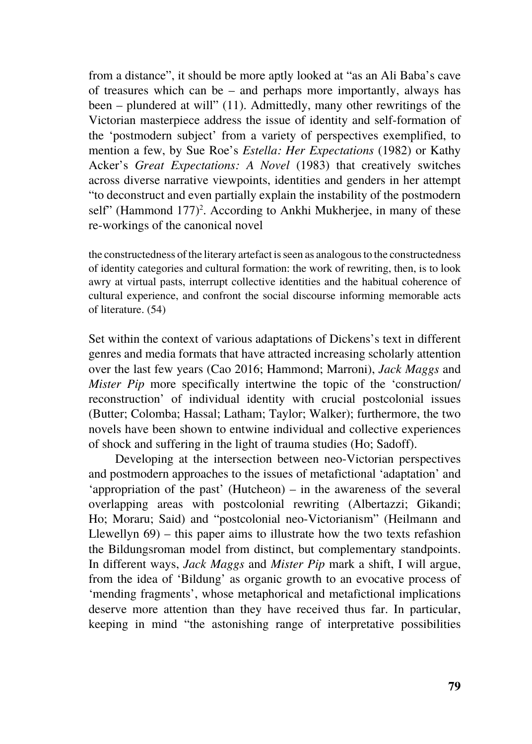from a distance", it should be more aptly looked at "as an Ali Baba's cave of treasures which can be – and perhaps more importantly, always has been – plundered at will" (11). Admittedly, many other rewritings of the Victorian masterpiece address the issue of identity and self-formation of the 'postmodern subject' from a variety of perspectives exemplified, to mention a few, by Sue Roe's *Estella: Her Expectations* (1982) or Kathy Acker's *Great Expectations: A Novel* (1983) that creatively switches across diverse narrative viewpoints, identities and genders in her attempt "to deconstruct and even partially explain the instability of the postmodern self" (Hammond 177)<sup>2</sup>. According to Ankhi Mukherjee, in many of these re-workings of the canonical novel

the constructedness of the literary artefact is seen as analogous to the constructedness of identity categories and cultural formation: the work of rewriting, then, is to look awry at virtual pasts, interrupt collective identities and the habitual coherence of cultural experience, and confront the social discourse informing memorable acts of literature. (54)

Set within the context of various adaptations of Dickens's text in different genres and media formats that have attracted increasing scholarly attention over the last few years (Cao 2016; Hammond; Marroni), *Jack Maggs* and *Mister Pip* more specifically intertwine the topic of the 'construction/ reconstruction' of individual identity with crucial postcolonial issues (Butter; Colomba; Hassal; Latham; Taylor; Walker); furthermore, the two novels have been shown to entwine individual and collective experiences of shock and suffering in the light of trauma studies (Ho; Sadoff).

Developing at the intersection between neo-Victorian perspectives and postmodern approaches to the issues of metafictional 'adaptation' and 'appropriation of the past' (Hutcheon) – in the awareness of the several overlapping areas with postcolonial rewriting (Albertazzi; Gikandi; Ho; Moraru; Said) and "postcolonial neo-Victorianism" (Heilmann and Llewellyn 69) – this paper aims to illustrate how the two texts refashion the Bildungsroman model from distinct, but complementary standpoints. In different ways, *Jack Maggs* and *Mister Pip* mark a shift, I will argue, from the idea of 'Bildung' as organic growth to an evocative process of 'mending fragments', whose metaphorical and metafictional implications deserve more attention than they have received thus far. In particular, keeping in mind "the astonishing range of interpretative possibilities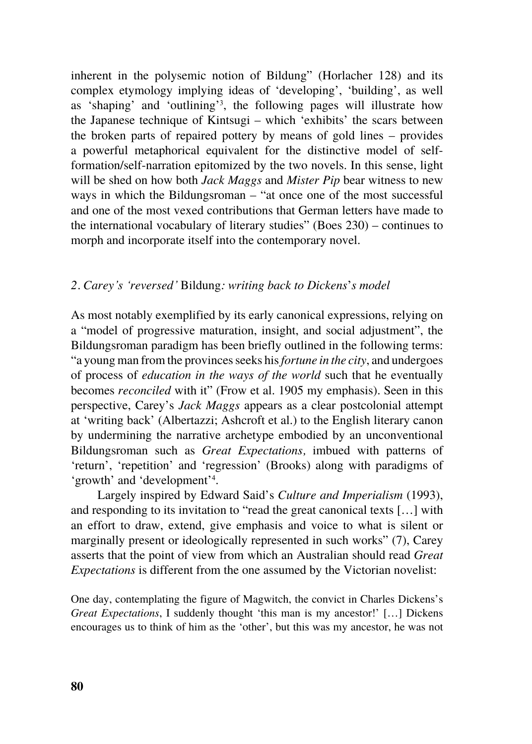inherent in the polysemic notion of Bildung" (Horlacher 128) and its complex etymology implying ideas of 'developing', 'building', as well as 'shaping' and 'outlining'<sup>3</sup> , the following pages will illustrate how the Japanese technique of Kintsugi – which 'exhibits' the scars between the broken parts of repaired pottery by means of gold lines – provides a powerful metaphorical equivalent for the distinctive model of selfformation/self-narration epitomized by the two novels. In this sense, light will be shed on how both *Jack Maggs* and *Mister Pip* bear witness to new ways in which the Bildungsroman – "at once one of the most successful and one of the most vexed contributions that German letters have made to the international vocabulary of literary studies" (Boes 230) – continues to morph and incorporate itself into the contemporary novel.

### *2. Carey's 'reversed'* Bildung*: writing back to Dickens*'*s model*

As most notably exemplified by its early canonical expressions, relying on a "model of progressive maturation, insight, and social adjustment", the Bildungsroman paradigm has been briefly outlined in the following terms: "a young man from the provinces seeks his *fortune in the city*, and undergoes of process of *education in the ways of the world* such that he eventually becomes *reconciled* with it" (Frow et al. 1905 my emphasis). Seen in this perspective, Carey's *Jack Maggs* appears as a clear postcolonial attempt at 'writing back' (Albertazzi; Ashcroft et al.) to the English literary canon by undermining the narrative archetype embodied by an unconventional Bildungsroman such as *Great Expectations,* imbued with patterns of 'return', 'repetition' and 'regression' (Brooks) along with paradigms of 'growth' and 'development'<sup>4</sup> .

Largely inspired by Edward Said's *Culture and Imperialism* (1993), and responding to its invitation to "read the great canonical texts […] with an effort to draw, extend, give emphasis and voice to what is silent or marginally present or ideologically represented in such works" (7), Carey asserts that the point of view from which an Australian should read *Great Expectations* is different from the one assumed by the Victorian novelist:

One day, contemplating the figure of Magwitch, the convict in Charles Dickens's *Great Expectations*, I suddenly thought 'this man is my ancestor!' [...] Dickens encourages us to think of him as the 'other', but this was my ancestor, he was not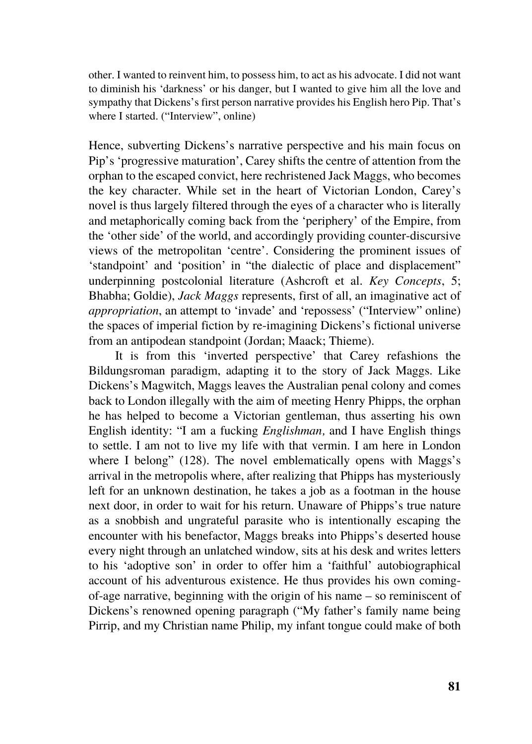other. I wanted to reinvent him, to possess him, to act as his advocate. I did not want to diminish his 'darkness' or his danger, but I wanted to give him all the love and sympathy that Dickens's first person narrative provides his English hero Pip. That's where I started. ("Interview", online)

Hence, subverting Dickens's narrative perspective and his main focus on Pip's 'progressive maturation', Carey shifts the centre of attention from the orphan to the escaped convict, here rechristened Jack Maggs, who becomes the key character. While set in the heart of Victorian London, Carey's novel is thus largely filtered through the eyes of a character who is literally and metaphorically coming back from the 'periphery' of the Empire, from the 'other side' of the world, and accordingly providing counter-discursive views of the metropolitan 'centre'. Considering the prominent issues of 'standpoint' and 'position' in "the dialectic of place and displacement" underpinning postcolonial literature (Ashcroft et al. *Key Concepts*, 5; Bhabha; Goldie), *Jack Maggs* represents, first of all, an imaginative act of *appropriation*, an attempt to 'invade' and 'repossess' ("Interview" online) the spaces of imperial fiction by re-imagining Dickens's fictional universe from an antipodean standpoint (Jordan; Maack; Thieme).

It is from this 'inverted perspective' that Carey refashions the Bildungsroman paradigm, adapting it to the story of Jack Maggs. Like Dickens's Magwitch, Maggs leaves the Australian penal colony and comes back to London illegally with the aim of meeting Henry Phipps, the orphan he has helped to become a Victorian gentleman, thus asserting his own English identity: "I am a fucking *Englishman,* and I have English things to settle. I am not to live my life with that vermin. I am here in London where I belong" (128). The novel emblematically opens with Maggs's arrival in the metropolis where, after realizing that Phipps has mysteriously left for an unknown destination, he takes a job as a footman in the house next door, in order to wait for his return. Unaware of Phipps's true nature as a snobbish and ungrateful parasite who is intentionally escaping the encounter with his benefactor, Maggs breaks into Phipps's deserted house every night through an unlatched window, sits at his desk and writes letters to his 'adoptive son' in order to offer him a 'faithful' autobiographical account of his adventurous existence. He thus provides his own comingof-age narrative, beginning with the origin of his name – so reminiscent of Dickens's renowned opening paragraph ("My father's family name being Pirrip, and my Christian name Philip, my infant tongue could make of both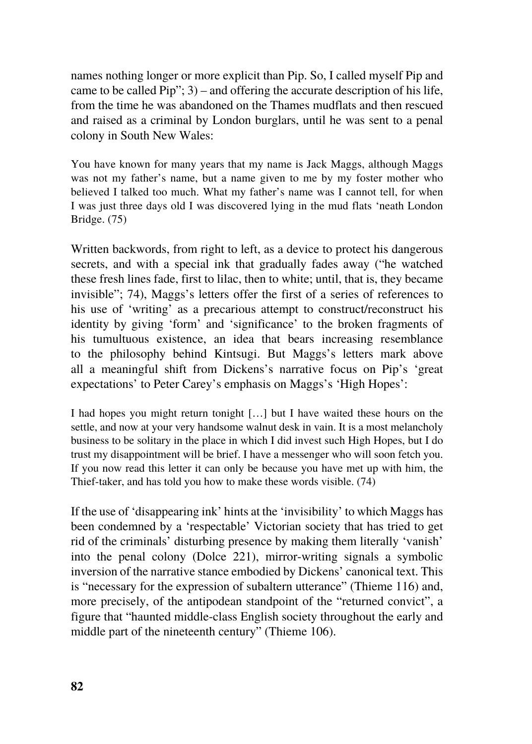names nothing longer or more explicit than Pip. So, I called myself Pip and came to be called Pip"; 3) – and offering the accurate description of his life, from the time he was abandoned on the Thames mudflats and then rescued and raised as a criminal by London burglars, until he was sent to a penal colony in South New Wales:

You have known for many years that my name is Jack Maggs, although Maggs was not my father's name, but a name given to me by my foster mother who believed I talked too much. What my father's name was I cannot tell, for when I was just three days old I was discovered lying in the mud flats 'neath London Bridge. (75)

Written backwords, from right to left, as a device to protect his dangerous secrets, and with a special ink that gradually fades away ("he watched these fresh lines fade, first to lilac, then to white; until, that is, they became invisible"; 74), Maggs's letters offer the first of a series of references to his use of 'writing' as a precarious attempt to construct/reconstruct his identity by giving 'form' and 'significance' to the broken fragments of his tumultuous existence, an idea that bears increasing resemblance to the philosophy behind Kintsugi. But Maggs's letters mark above all a meaningful shift from Dickens's narrative focus on Pip's 'great expectations' to Peter Carey's emphasis on Maggs's 'High Hopes':

I had hopes you might return tonight […] but I have waited these hours on the settle, and now at your very handsome walnut desk in vain. It is a most melancholy business to be solitary in the place in which I did invest such High Hopes, but I do trust my disappointment will be brief. I have a messenger who will soon fetch you. If you now read this letter it can only be because you have met up with him, the Thief-taker, and has told you how to make these words visible. (74)

If the use of 'disappearing ink' hints at the 'invisibility' to which Maggs has been condemned by a 'respectable' Victorian society that has tried to get rid of the criminals' disturbing presence by making them literally 'vanish' into the penal colony (Dolce 221), mirror-writing signals a symbolic inversion of the narrative stance embodied by Dickens' canonical text. This is "necessary for the expression of subaltern utterance" (Thieme 116) and, more precisely, of the antipodean standpoint of the "returned convict", a figure that "haunted middle-class English society throughout the early and middle part of the nineteenth century" (Thieme 106).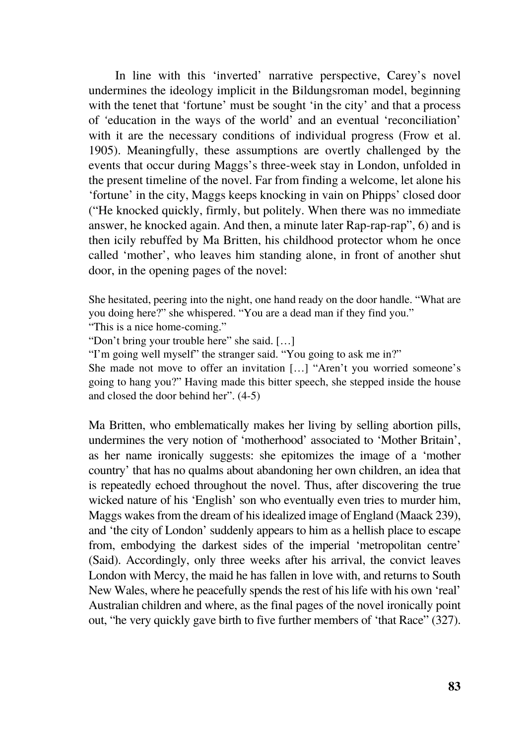In line with this 'inverted' narrative perspective, Carey's novel undermines the ideology implicit in the Bildungsroman model, beginning with the tenet that 'fortune' must be sought 'in the city' and that a process of *'*education in the ways of the world' and an eventual 'reconciliation' with it are the necessary conditions of individual progress (Frow et al. 1905). Meaningfully, these assumptions are overtly challenged by the events that occur during Maggs's three-week stay in London, unfolded in the present timeline of the novel. Far from finding a welcome, let alone his 'fortune' in the city, Maggs keeps knocking in vain on Phipps' closed door ("He knocked quickly, firmly, but politely. When there was no immediate answer, he knocked again. And then, a minute later Rap-rap-rap", 6) and is then icily rebuffed by Ma Britten, his childhood protector whom he once called 'mother', who leaves him standing alone, in front of another shut door, in the opening pages of the novel:

She hesitated, peering into the night, one hand ready on the door handle. "What are you doing here?" she whispered. "You are a dead man if they find you."

"This is a nice home-coming."

"Don't bring your trouble here" she said. […]

"I'm going well myself" the stranger said. "You going to ask me in?"

She made not move to offer an invitation […] "Aren't you worried someone's going to hang you?" Having made this bitter speech, she stepped inside the house and closed the door behind her". (4-5)

Ma Britten, who emblematically makes her living by selling abortion pills, undermines the very notion of 'motherhood' associated to 'Mother Britain', as her name ironically suggests: she epitomizes the image of a 'mother country' that has no qualms about abandoning her own children, an idea that is repeatedly echoed throughout the novel. Thus, after discovering the true wicked nature of his 'English' son who eventually even tries to murder him, Maggs wakes from the dream of his idealized image of England (Maack 239), and 'the city of London' suddenly appears to him as a hellish place to escape from, embodying the darkest sides of the imperial 'metropolitan centre' (Said). Accordingly, only three weeks after his arrival, the convict leaves London with Mercy, the maid he has fallen in love with, and returns to South New Wales, where he peacefully spends the rest of his life with his own 'real' Australian children and where, as the final pages of the novel ironically point out, "he very quickly gave birth to five further members of 'that Race" (327).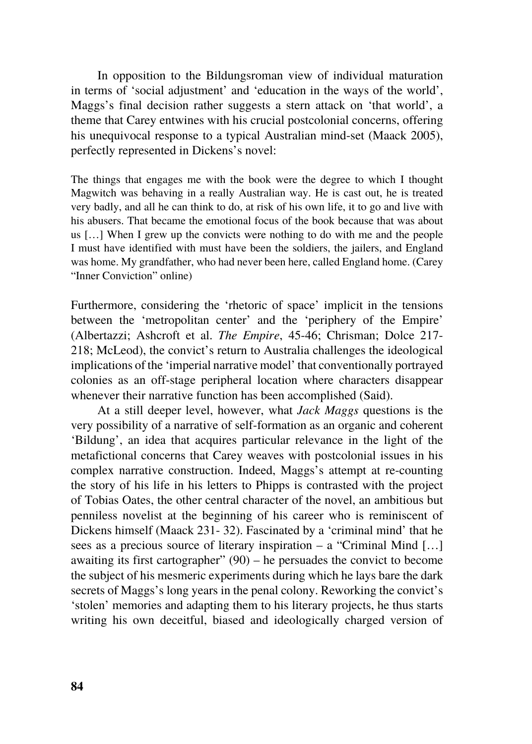In opposition to the Bildungsroman view of individual maturation in terms of 'social adjustment' and 'education in the ways of the world', Maggs's final decision rather suggests a stern attack on 'that world', a theme that Carey entwines with his crucial postcolonial concerns, offering his unequivocal response to a typical Australian mind-set (Maack 2005), perfectly represented in Dickens's novel:

The things that engages me with the book were the degree to which I thought Magwitch was behaving in a really Australian way. He is cast out, he is treated very badly, and all he can think to do, at risk of his own life, it to go and live with his abusers. That became the emotional focus of the book because that was about us […] When I grew up the convicts were nothing to do with me and the people I must have identified with must have been the soldiers, the jailers, and England was home. My grandfather, who had never been here, called England home. (Carey "Inner Conviction" online)

Furthermore, considering the 'rhetoric of space' implicit in the tensions between the 'metropolitan center' and the 'periphery of the Empire' (Albertazzi; Ashcroft et al. *The Empire*, 45-46; Chrisman; Dolce 217- 218; McLeod), the convict's return to Australia challenges the ideological implications of the 'imperial narrative model' that conventionally portrayed colonies as an off-stage peripheral location where characters disappear whenever their narrative function has been accomplished (Said).

At a still deeper level, however, what *Jack Maggs* questions is the very possibility of a narrative of self-formation as an organic and coherent 'Bildung', an idea that acquires particular relevance in the light of the metafictional concerns that Carey weaves with postcolonial issues in his complex narrative construction. Indeed, Maggs's attempt at re-counting the story of his life in his letters to Phipps is contrasted with the project of Tobias Oates, the other central character of the novel, an ambitious but penniless novelist at the beginning of his career who is reminiscent of Dickens himself (Maack 231- 32). Fascinated by a 'criminal mind' that he sees as a precious source of literary inspiration – a "Criminal Mind […] awaiting its first cartographer" (90) – he persuades the convict to become the subject of his mesmeric experiments during which he lays bare the dark secrets of Maggs's long years in the penal colony. Reworking the convict's 'stolen' memories and adapting them to his literary projects, he thus starts writing his own deceitful, biased and ideologically charged version of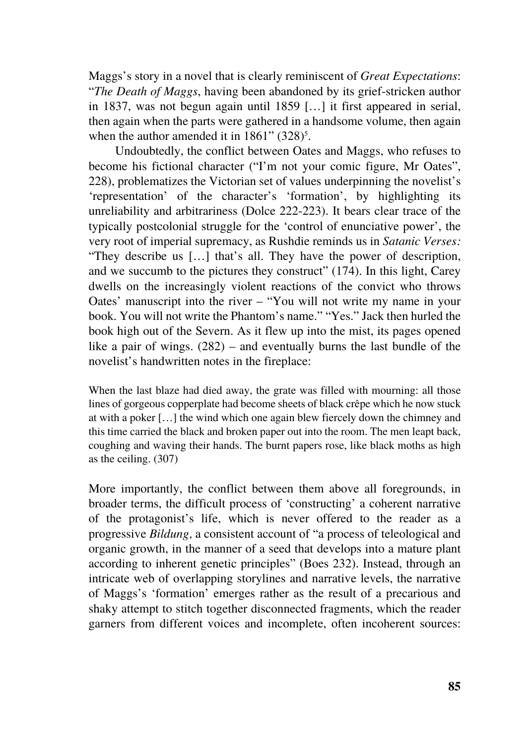Maggs's story in a novel that is clearly reminiscent of *Great Expectations*: "*The Death of Maggs*, having been abandoned by its grief-stricken author in 1837, was not begun again until 1859 […] it first appeared in serial, then again when the parts were gathered in a handsome volume, then again when the author amended it in  $1861$ " (328)<sup>5</sup>.

Undoubtedly, the conflict between Oates and Maggs, who refuses to become his fictional character ("I'm not your comic figure, Mr Oates", 228), problematizes the Victorian set of values underpinning the novelist's 'representation' of the character's 'formation', by highlighting its unreliability and arbitrariness (Dolce 222-223). It bears clear trace of the typically postcolonial struggle for the 'control of enunciative power', the very root of imperial supremacy, as Rushdie reminds us in *Satanic Verses:*  "They describe us […] that's all. They have the power of description, and we succumb to the pictures they construct" (174). In this light, Carey dwells on the increasingly violent reactions of the convict who throws Oates' manuscript into the river – "You will not write my name in your book. You will not write the Phantom's name." "Yes." Jack then hurled the book high out of the Severn. As it flew up into the mist, its pages opened like a pair of wings. (282) – and eventually burns the last bundle of the novelist's handwritten notes in the fireplace:

When the last blaze had died away, the grate was filled with mourning: all those lines of gorgeous copperplate had become sheets of black crêpe which he now stuck at with a poker […] the wind which one again blew fiercely down the chimney and this time carried the black and broken paper out into the room. The men leapt back, coughing and waving their hands. The burnt papers rose, like black moths as high as the ceiling. (307)

More importantly, the conflict between them above all foregrounds, in broader terms, the difficult process of 'constructing' a coherent narrative of the protagonist's life, which is never offered to the reader as a progressive *Bildung,* a consistent account of "a process of teleological and organic growth, in the manner of a seed that develops into a mature plant according to inherent genetic principles" (Boes 232). Instead, through an intricate web of overlapping storylines and narrative levels, the narrative of Maggs's 'formation' emerges rather as the result of a precarious and shaky attempt to stitch together disconnected fragments, which the reader garners from different voices and incomplete, often incoherent sources: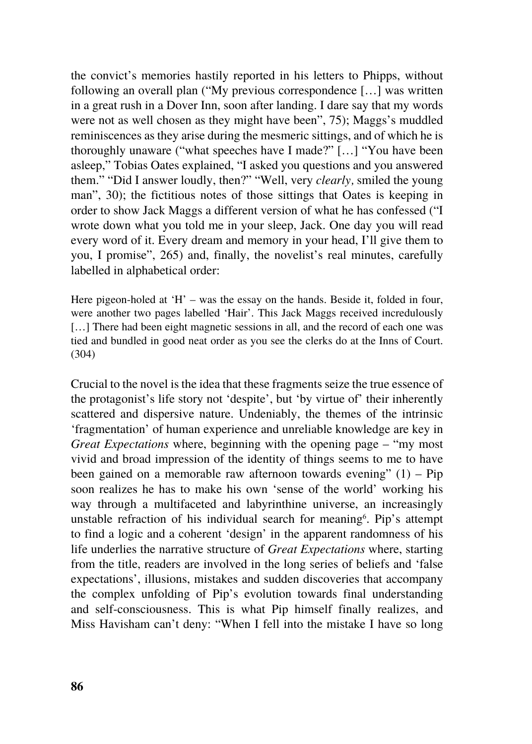the convict's memories hastily reported in his letters to Phipps, without following an overall plan ("My previous correspondence […] was written in a great rush in a Dover Inn, soon after landing. I dare say that my words were not as well chosen as they might have been", 75); Maggs's muddled reminiscences as they arise during the mesmeric sittings, and of which he is thoroughly unaware ("what speeches have I made?" […] "You have been asleep," Tobias Oates explained, "I asked you questions and you answered them." "Did I answer loudly, then?" "Well, very *clearly,* smiled the young man", 30); the fictitious notes of those sittings that Oates is keeping in order to show Jack Maggs a different version of what he has confessed ("I wrote down what you told me in your sleep, Jack. One day you will read every word of it. Every dream and memory in your head, I'll give them to you, I promise", 265) and, finally, the novelist's real minutes, carefully labelled in alphabetical order:

Here pigeon-holed at  $H'$  – was the essay on the hands. Beside it, folded in four, were another two pages labelled 'Hair'. This Jack Maggs received incredulously [...] There had been eight magnetic sessions in all, and the record of each one was tied and bundled in good neat order as you see the clerks do at the Inns of Court. (304)

Crucial to the novel is the idea that these fragments seize the true essence of the protagonist's life story not 'despite', but 'by virtue of' their inherently scattered and dispersive nature. Undeniably, the themes of the intrinsic 'fragmentation' of human experience and unreliable knowledge are key in *Great Expectations* where, beginning with the opening page – "my most vivid and broad impression of the identity of things seems to me to have been gained on a memorable raw afternoon towards evening"  $(1)$  – Pip soon realizes he has to make his own 'sense of the world' working his way through a multifaceted and labyrinthine universe, an increasingly unstable refraction of his individual search for meaning<sup>6</sup>. Pip's attempt to find a logic and a coherent 'design' in the apparent randomness of his life underlies the narrative structure of *Great Expectations* where, starting from the title, readers are involved in the long series of beliefs and 'false expectations', illusions, mistakes and sudden discoveries that accompany the complex unfolding of Pip's evolution towards final understanding and self-consciousness. This is what Pip himself finally realizes, and Miss Havisham can't deny: "When I fell into the mistake I have so long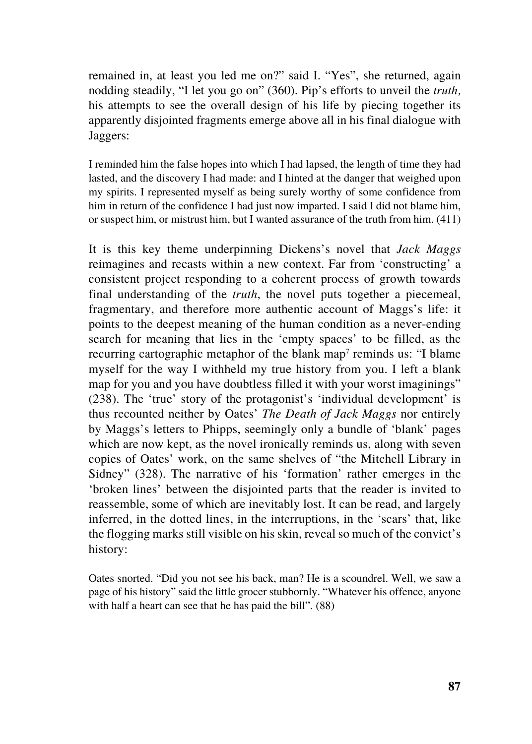remained in, at least you led me on?" said I. "Yes", she returned, again nodding steadily, "I let you go on" (360). Pip's efforts to unveil the *truth,*  his attempts to see the overall design of his life by piecing together its apparently disjointed fragments emerge above all in his final dialogue with Jaggers:

I reminded him the false hopes into which I had lapsed, the length of time they had lasted, and the discovery I had made: and I hinted at the danger that weighed upon my spirits. I represented myself as being surely worthy of some confidence from him in return of the confidence I had just now imparted. I said I did not blame him, or suspect him, or mistrust him, but I wanted assurance of the truth from him. (411)

It is this key theme underpinning Dickens's novel that *Jack Maggs* reimagines and recasts within a new context. Far from 'constructing' a consistent project responding to a coherent process of growth towards final understanding of the *truth*, the novel puts together a piecemeal, fragmentary, and therefore more authentic account of Maggs's life: it points to the deepest meaning of the human condition as a never-ending search for meaning that lies in the 'empty spaces' to be filled, as the recurring cartographic metaphor of the blank map<sup>7</sup> reminds us: "I blame myself for the way I withheld my true history from you. I left a blank map for you and you have doubtless filled it with your worst imaginings" (238). The 'true' story of the protagonist's 'individual development' is thus recounted neither by Oates' *The Death of Jack Maggs* nor entirely by Maggs's letters to Phipps, seemingly only a bundle of 'blank' pages which are now kept, as the novel ironically reminds us, along with seven copies of Oates' work, on the same shelves of "the Mitchell Library in Sidney" (328). The narrative of his 'formation' rather emerges in the 'broken lines' between the disjointed parts that the reader is invited to reassemble, some of which are inevitably lost. It can be read, and largely inferred, in the dotted lines, in the interruptions, in the 'scars' that, like the flogging marks still visible on his skin, reveal so much of the convict's history:

Oates snorted. "Did you not see his back, man? He is a scoundrel. Well, we saw a page of his history" said the little grocer stubbornly. "Whatever his offence, anyone with half a heart can see that he has paid the bill". (88)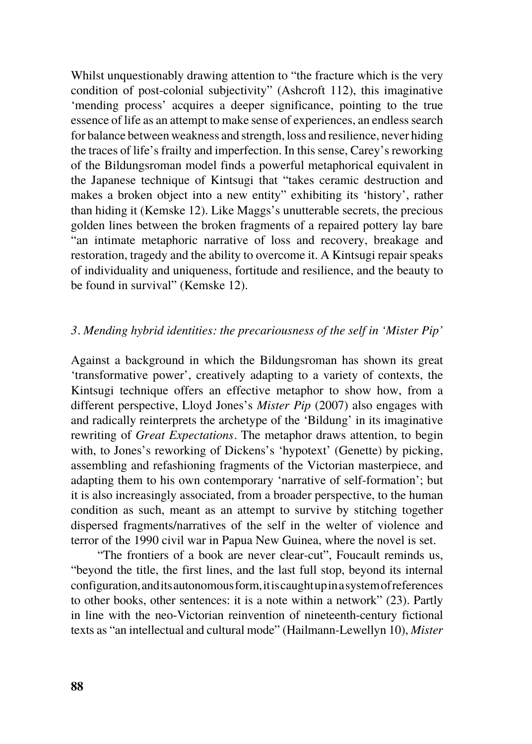Whilst unquestionably drawing attention to "the fracture which is the very condition of post-colonial subjectivity" (Ashcroft 112), this imaginative 'mending process' acquires a deeper significance, pointing to the true essence of life as an attempt to make sense of experiences, an endless search for balance between weakness and strength, loss and resilience, never hiding the traces of life's frailty and imperfection. In this sense, Carey's reworking of the Bildungsroman model finds a powerful metaphorical equivalent in the Japanese technique of Kintsugi that "takes ceramic destruction and makes a broken object into a new entity" exhibiting its 'history', rather than hiding it (Kemske 12). Like Maggs's unutterable secrets, the precious golden lines between the broken fragments of a repaired pottery lay bare "an intimate metaphoric narrative of loss and recovery, breakage and restoration, tragedy and the ability to overcome it. A Kintsugi repair speaks of individuality and uniqueness, fortitude and resilience, and the beauty to be found in survival" (Kemske 12).

## *3. Mending hybrid identities: the precariousness of the self in 'Mister Pip'*

Against a background in which the Bildungsroman has shown its great 'transformative power', creatively adapting to a variety of contexts, the Kintsugi technique offers an effective metaphor to show how, from a different perspective, Lloyd Jones's *Mister Pip* (2007) also engages with and radically reinterprets the archetype of the 'Bildung' in its imaginative rewriting of *Great Expectations.* The metaphor draws attention, to begin with, to Jones's reworking of Dickens's 'hypotext' (Genette) by picking, assembling and refashioning fragments of the Victorian masterpiece, and adapting them to his own contemporary 'narrative of self-formation'; but it is also increasingly associated, from a broader perspective, to the human condition as such, meant as an attempt to survive by stitching together dispersed fragments/narratives of the self in the welter of violence and terror of the 1990 civil war in Papua New Guinea, where the novel is set.

"The frontiers of a book are never clear-cut", Foucault reminds us, "beyond the title, the first lines, and the last full stop, beyond its internal configuration, and its autonomous form, it is caught up in a system of references to other books, other sentences: it is a note within a network" (23). Partly in line with the neo-Victorian reinvention of nineteenth-century fictional texts as "an intellectual and cultural mode" (Hailmann-Lewellyn 10), *Mister*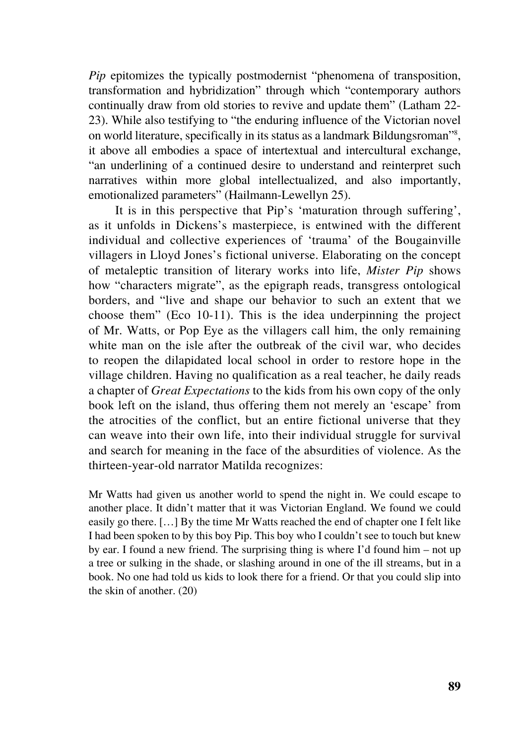*Pip* epitomizes the typically postmodernist "phenomena of transposition, transformation and hybridization" through which "contemporary authors continually draw from old stories to revive and update them" (Latham 22- 23). While also testifying to "the enduring influence of the Victorian novel on world literature, specifically in its status as a landmark Bildungsroman"<sup>8</sup>, it above all embodies a space of intertextual and intercultural exchange, "an underlining of a continued desire to understand and reinterpret such narratives within more global intellectualized, and also importantly, emotionalized parameters" (Hailmann-Lewellyn 25).

It is in this perspective that Pip's 'maturation through suffering', as it unfolds in Dickens's masterpiece, is entwined with the different individual and collective experiences of 'trauma' of the Bougainville villagers in Lloyd Jones's fictional universe. Elaborating on the concept of metaleptic transition of literary works into life, *Mister Pip* shows how "characters migrate", as the epigraph reads, transgress ontological borders, and "live and shape our behavior to such an extent that we choose them" (Eco 10-11). This is the idea underpinning the project of Mr. Watts, or Pop Eye as the villagers call him, the only remaining white man on the isle after the outbreak of the civil war, who decides to reopen the dilapidated local school in order to restore hope in the village children. Having no qualification as a real teacher, he daily reads a chapter of *Great Expectations* to the kids from his own copy of the only book left on the island, thus offering them not merely an 'escape' from the atrocities of the conflict, but an entire fictional universe that they can weave into their own life, into their individual struggle for survival and search for meaning in the face of the absurdities of violence. As the thirteen-year-old narrator Matilda recognizes:

Mr Watts had given us another world to spend the night in. We could escape to another place. It didn't matter that it was Victorian England. We found we could easily go there. […] By the time Mr Watts reached the end of chapter one I felt like I had been spoken to by this boy Pip. This boy who I couldn't see to touch but knew by ear. I found a new friend. The surprising thing is where I'd found him – not up a tree or sulking in the shade, or slashing around in one of the ill streams, but in a book. No one had told us kids to look there for a friend. Or that you could slip into the skin of another. (20)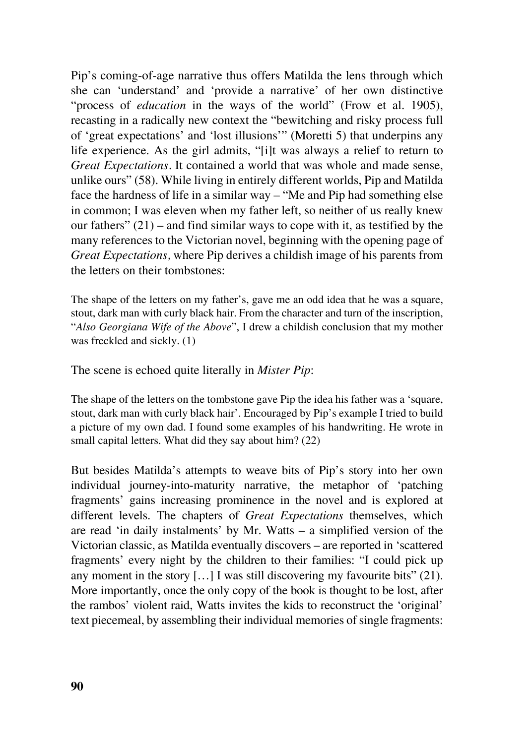Pip's coming-of-age narrative thus offers Matilda the lens through which she can 'understand' and 'provide a narrative' of her own distinctive "process of *education* in the ways of the world" (Frow et al. 1905), recasting in a radically new context the "bewitching and risky process full of 'great expectations' and 'lost illusions'" (Moretti 5) that underpins any life experience. As the girl admits, "[i]t was always a relief to return to *Great Expectations.* It contained a world that was whole and made sense, unlike ours" (58). While living in entirely different worlds, Pip and Matilda face the hardness of life in a similar way – "Me and Pip had something else in common; I was eleven when my father left, so neither of us really knew our fathers"  $(21)$  – and find similar ways to cope with it, as testified by the many references to the Victorian novel, beginning with the opening page of *Great Expectations,* where Pip derives a childish image of his parents from the letters on their tombstones:

The shape of the letters on my father's, gave me an odd idea that he was a square, stout, dark man with curly black hair. From the character and turn of the inscription, "*Also Georgiana Wife of the Above*", I drew a childish conclusion that my mother was freckled and sickly. (1)

The scene is echoed quite literally in *Mister Pip*:

The shape of the letters on the tombstone gave Pip the idea his father was a 'square, stout, dark man with curly black hair'. Encouraged by Pip's example I tried to build a picture of my own dad. I found some examples of his handwriting. He wrote in small capital letters. What did they say about him? (22)

But besides Matilda's attempts to weave bits of Pip's story into her own individual journey-into-maturity narrative, the metaphor of 'patching fragments' gains increasing prominence in the novel and is explored at different levels. The chapters of *Great Expectations* themselves, which are read 'in daily instalments' by Mr. Watts – a simplified version of the Victorian classic, as Matilda eventually discovers – are reported in 'scattered fragments' every night by the children to their families: "I could pick up any moment in the story  $[\dots]$  I was still discovering my favourite bits" (21). More importantly, once the only copy of the book is thought to be lost, after the rambos' violent raid, Watts invites the kids to reconstruct the 'original' text piecemeal, by assembling their individual memories of single fragments: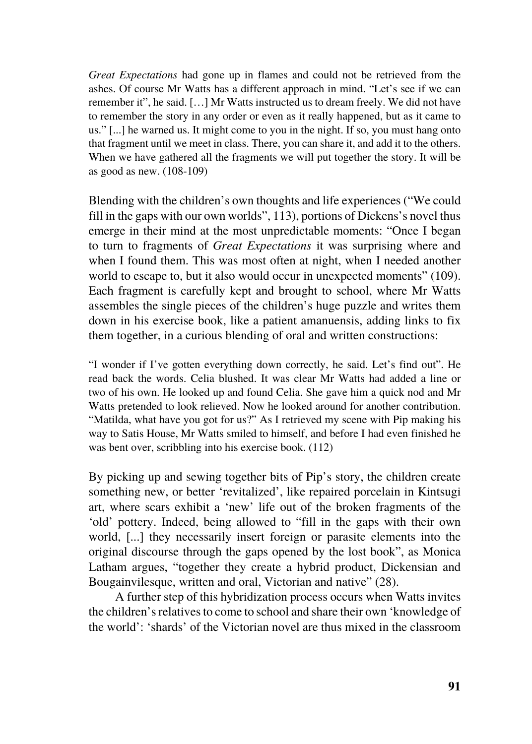*Great Expectations* had gone up in flames and could not be retrieved from the ashes. Of course Mr Watts has a different approach in mind. "Let's see if we can remember it", he said. […] Mr Watts instructed us to dream freely. We did not have to remember the story in any order or even as it really happened, but as it came to us." [...] he warned us. It might come to you in the night. If so, you must hang onto that fragment until we meet in class. There, you can share it, and add it to the others. When we have gathered all the fragments we will put together the story. It will be as good as new. (108-109)

Blending with the children's own thoughts and life experiences ("We could fill in the gaps with our own worlds", 113), portions of Dickens's novel thus emerge in their mind at the most unpredictable moments: "Once I began to turn to fragments of *Great Expectations* it was surprising where and when I found them. This was most often at night, when I needed another world to escape to, but it also would occur in unexpected moments" (109). Each fragment is carefully kept and brought to school, where Mr Watts assembles the single pieces of the children's huge puzzle and writes them down in his exercise book, like a patient amanuensis, adding links to fix them together, in a curious blending of oral and written constructions:

"I wonder if I've gotten everything down correctly, he said. Let's find out". He read back the words. Celia blushed. It was clear Mr Watts had added a line or two of his own. He looked up and found Celia. She gave him a quick nod and Mr Watts pretended to look relieved. Now he looked around for another contribution. "Matilda, what have you got for us?" As I retrieved my scene with Pip making his way to Satis House, Mr Watts smiled to himself, and before I had even finished he was bent over, scribbling into his exercise book. (112)

By picking up and sewing together bits of Pip's story, the children create something new, or better 'revitalized', like repaired porcelain in Kintsugi art, where scars exhibit a 'new' life out of the broken fragments of the 'old' pottery. Indeed, being allowed to "fill in the gaps with their own world, [...] they necessarily insert foreign or parasite elements into the original discourse through the gaps opened by the lost book", as Monica Latham argues, "together they create a hybrid product, Dickensian and Bougainvilesque, written and oral, Victorian and native" (28).

A further step of this hybridization process occurs when Watts invites the children's relatives to come to school and share their own 'knowledge of the world': 'shards' of the Victorian novel are thus mixed in the classroom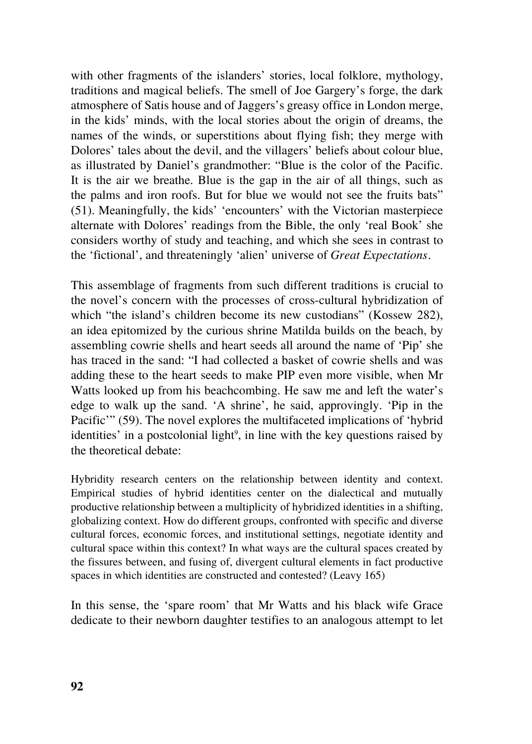with other fragments of the islanders' stories, local folklore, mythology, traditions and magical beliefs. The smell of Joe Gargery's forge, the dark atmosphere of Satis house and of Jaggers's greasy office in London merge, in the kids' minds, with the local stories about the origin of dreams, the names of the winds, or superstitions about flying fish; they merge with Dolores' tales about the devil, and the villagers' beliefs about colour blue, as illustrated by Daniel's grandmother: "Blue is the color of the Pacific. It is the air we breathe. Blue is the gap in the air of all things, such as the palms and iron roofs. But for blue we would not see the fruits bats" (51). Meaningfully, the kids' 'encounters' with the Victorian masterpiece alternate with Dolores' readings from the Bible, the only 'real Book' she considers worthy of study and teaching, and which she sees in contrast to the 'fictional', and threateningly 'alien' universe of *Great Expectations.*

This assemblage of fragments from such different traditions is crucial to the novel's concern with the processes of cross-cultural hybridization of which "the island's children become its new custodians" (Kossew 282), an idea epitomized by the curious shrine Matilda builds on the beach, by assembling cowrie shells and heart seeds all around the name of 'Pip' she has traced in the sand: "I had collected a basket of cowrie shells and was adding these to the heart seeds to make PIP even more visible, when Mr Watts looked up from his beachcombing. He saw me and left the water's edge to walk up the sand. 'A shrine', he said, approvingly. 'Pip in the Pacific'" (59). The novel explores the multifaceted implications of 'hybrid identities' in a postcolonial light<sup>9</sup>, in line with the key questions raised by the theoretical debate:

Hybridity research centers on the relationship between identity and context. Empirical studies of hybrid identities center on the dialectical and mutually productive relationship between a multiplicity of hybridized identities in a shifting, globalizing context. How do different groups, confronted with specific and diverse cultural forces, economic forces, and institutional settings, negotiate identity and cultural space within this context? In what ways are the cultural spaces created by the fissures between, and fusing of, divergent cultural elements in fact productive spaces in which identities are constructed and contested? (Leavy 165)

In this sense, the 'spare room' that Mr Watts and his black wife Grace dedicate to their newborn daughter testifies to an analogous attempt to let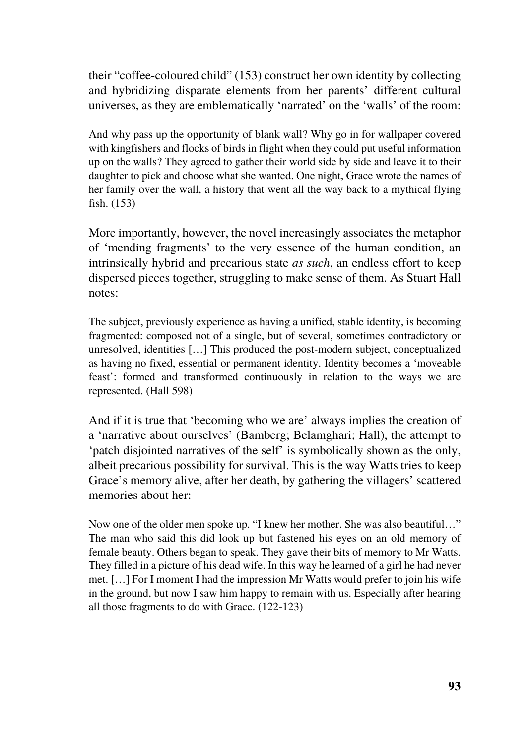their "coffee-coloured child" (153) construct her own identity by collecting and hybridizing disparate elements from her parents' different cultural universes, as they are emblematically 'narrated' on the 'walls' of the room:

And why pass up the opportunity of blank wall? Why go in for wallpaper covered with kingfishers and flocks of birds in flight when they could put useful information up on the walls? They agreed to gather their world side by side and leave it to their daughter to pick and choose what she wanted. One night, Grace wrote the names of her family over the wall, a history that went all the way back to a mythical flying fish. (153)

More importantly, however, the novel increasingly associates the metaphor of 'mending fragments' to the very essence of the human condition, an intrinsically hybrid and precarious state *as such*, an endless effort to keep dispersed pieces together, struggling to make sense of them. As Stuart Hall notes:

The subject, previously experience as having a unified, stable identity, is becoming fragmented: composed not of a single, but of several, sometimes contradictory or unresolved, identities […] This produced the post-modern subject, conceptualized as having no fixed, essential or permanent identity. Identity becomes a 'moveable feast': formed and transformed continuously in relation to the ways we are represented. (Hall 598)

And if it is true that 'becoming who we are' always implies the creation of a 'narrative about ourselves' (Bamberg; Belamghari; Hall), the attempt to 'patch disjointed narratives of the self' is symbolically shown as the only, albeit precarious possibility for survival. This is the way Watts tries to keep Grace's memory alive, after her death, by gathering the villagers' scattered memories about her:

Now one of the older men spoke up. "I knew her mother. She was also beautiful…" The man who said this did look up but fastened his eyes on an old memory of female beauty. Others began to speak. They gave their bits of memory to Mr Watts. They filled in a picture of his dead wife. In this way he learned of a girl he had never met. […] For I moment I had the impression Mr Watts would prefer to join his wife in the ground, but now I saw him happy to remain with us. Especially after hearing all those fragments to do with Grace. (122-123)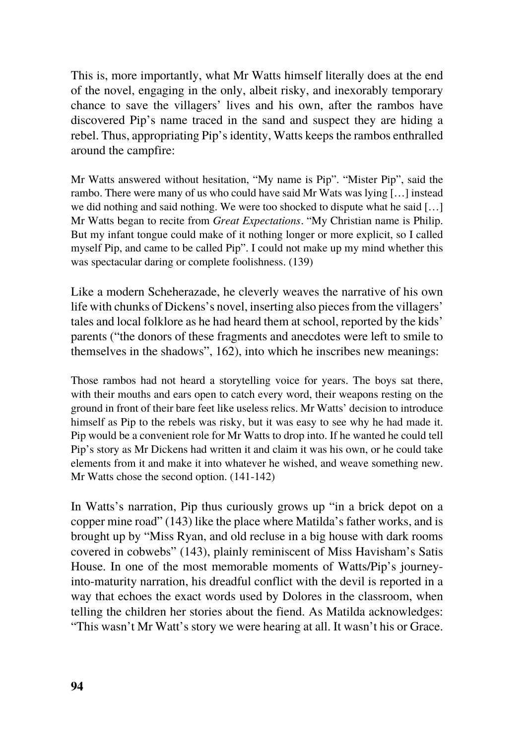This is, more importantly, what Mr Watts himself literally does at the end of the novel, engaging in the only, albeit risky, and inexorably temporary chance to save the villagers' lives and his own, after the rambos have discovered Pip's name traced in the sand and suspect they are hiding a rebel. Thus, appropriating Pip's identity, Watts keeps the rambos enthralled around the campfire:

Mr Watts answered without hesitation, "My name is Pip". "Mister Pip", said the rambo. There were many of us who could have said Mr Wats was lying […] instead we did nothing and said nothing. We were too shocked to dispute what he said […] Mr Watts began to recite from *Great Expectations.* "My Christian name is Philip. But my infant tongue could make of it nothing longer or more explicit, so I called myself Pip, and came to be called Pip". I could not make up my mind whether this was spectacular daring or complete foolishness. (139)

Like a modern Scheherazade, he cleverly weaves the narrative of his own life with chunks of Dickens's novel, inserting also pieces from the villagers' tales and local folklore as he had heard them at school, reported by the kids' parents ("the donors of these fragments and anecdotes were left to smile to themselves in the shadows", 162), into which he inscribes new meanings:

Those rambos had not heard a storytelling voice for years. The boys sat there, with their mouths and ears open to catch every word, their weapons resting on the ground in front of their bare feet like useless relics. Mr Watts' decision to introduce himself as Pip to the rebels was risky, but it was easy to see why he had made it. Pip would be a convenient role for Mr Watts to drop into. If he wanted he could tell Pip's story as Mr Dickens had written it and claim it was his own, or he could take elements from it and make it into whatever he wished, and weave something new. Mr Watts chose the second option. (141-142)

In Watts's narration, Pip thus curiously grows up "in a brick depot on a copper mine road" (143) like the place where Matilda's father works, and is brought up by "Miss Ryan, and old recluse in a big house with dark rooms covered in cobwebs" (143), plainly reminiscent of Miss Havisham's Satis House. In one of the most memorable moments of Watts/Pip's journeyinto-maturity narration, his dreadful conflict with the devil is reported in a way that echoes the exact words used by Dolores in the classroom, when telling the children her stories about the fiend. As Matilda acknowledges: "This wasn't Mr Watt's story we were hearing at all. It wasn't his or Grace.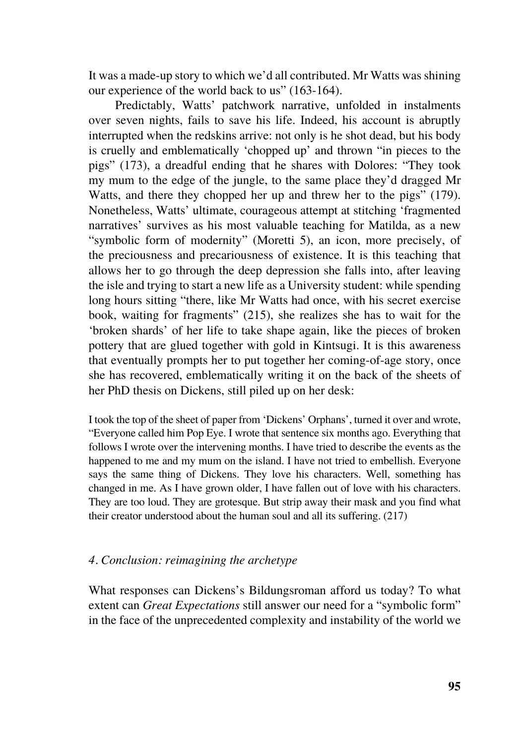It was a made-up story to which we'd all contributed. Mr Watts was shining our experience of the world back to us" (163-164).

Predictably, Watts' patchwork narrative, unfolded in instalments over seven nights, fails to save his life. Indeed, his account is abruptly interrupted when the redskins arrive: not only is he shot dead, but his body is cruelly and emblematically 'chopped up' and thrown "in pieces to the pigs" (173), a dreadful ending that he shares with Dolores: "They took my mum to the edge of the jungle, to the same place they'd dragged Mr Watts, and there they chopped her up and threw her to the pigs" (179). Nonetheless, Watts' ultimate, courageous attempt at stitching 'fragmented narratives' survives as his most valuable teaching for Matilda, as a new "symbolic form of modernity" (Moretti 5), an icon, more precisely, of the preciousness and precariousness of existence. It is this teaching that allows her to go through the deep depression she falls into, after leaving the isle and trying to start a new life as a University student: while spending long hours sitting "there, like Mr Watts had once, with his secret exercise book, waiting for fragments" (215), she realizes she has to wait for the 'broken shards' of her life to take shape again, like the pieces of broken pottery that are glued together with gold in Kintsugi. It is this awareness that eventually prompts her to put together her coming-of-age story, once she has recovered, emblematically writing it on the back of the sheets of her PhD thesis on Dickens, still piled up on her desk:

I took the top of the sheet of paper from 'Dickens' Orphans', turned it over and wrote, "Everyone called him Pop Eye. I wrote that sentence six months ago. Everything that follows I wrote over the intervening months. I have tried to describe the events as the happened to me and my mum on the island. I have not tried to embellish. Everyone says the same thing of Dickens. They love his characters. Well, something has changed in me. As I have grown older, I have fallen out of love with his characters. They are too loud. They are grotesque. But strip away their mask and you find what their creator understood about the human soul and all its suffering. (217)

### *4. Conclusion: reimagining the archetype*

What responses can Dickens's Bildungsroman afford us today? To what extent can *Great Expectations* still answer our need for a "symbolic form" in the face of the unprecedented complexity and instability of the world we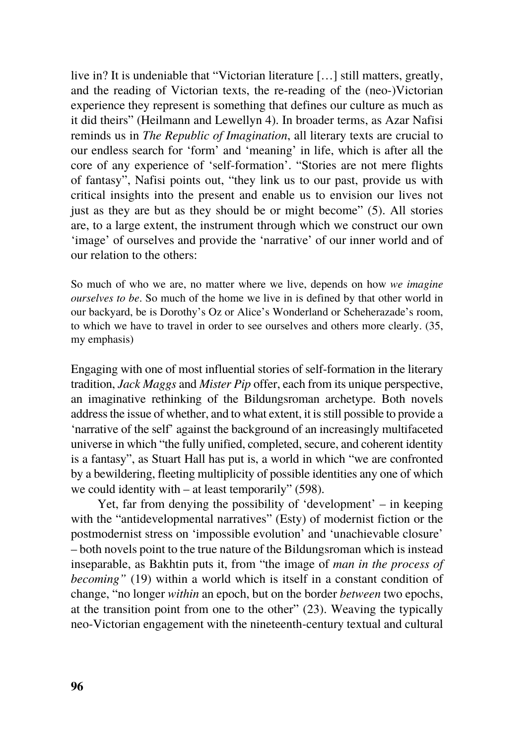live in? It is undeniable that "Victorian literature […] still matters, greatly, and the reading of Victorian texts, the re-reading of the (neo-)Victorian experience they represent is something that defines our culture as much as it did theirs" (Heilmann and Lewellyn 4). In broader terms, as Azar Nafisi reminds us in *The Republic of Imagination*, all literary texts are crucial to our endless search for 'form' and 'meaning' in life, which is after all the core of any experience of 'self-formation'. "Stories are not mere flights of fantasy", Nafisi points out, "they link us to our past, provide us with critical insights into the present and enable us to envision our lives not just as they are but as they should be or might become" (5). All stories are, to a large extent, the instrument through which we construct our own 'image' of ourselves and provide the 'narrative' of our inner world and of our relation to the others:

So much of who we are, no matter where we live, depends on how *we imagine ourselves to be*. So much of the home we live in is defined by that other world in our backyard, be is Dorothy's Oz or Alice's Wonderland or Scheherazade's room, to which we have to travel in order to see ourselves and others more clearly. (35, my emphasis)

Engaging with one of most influential stories of self-formation in the literary tradition, *Jack Maggs* and *Mister Pip* offer, each from its unique perspective, an imaginative rethinking of the Bildungsroman archetype. Both novels address the issue of whether, and to what extent, it is still possible to provide a 'narrative of the self' against the background of an increasingly multifaceted universe in which "the fully unified, completed, secure, and coherent identity is a fantasy", as Stuart Hall has put is, a world in which "we are confronted by a bewildering, fleeting multiplicity of possible identities any one of which we could identity with – at least temporarily" (598).

Yet, far from denying the possibility of 'development' – in keeping with the "antidevelopmental narratives" (Esty) of modernist fiction or the postmodernist stress on 'impossible evolution' and 'unachievable closure' – both novels point to the true nature of the Bildungsroman which is instead inseparable, as Bakhtin puts it, from "the image of *man in the process of becoming"* (19) within a world which is itself in a constant condition of change, "no longer *within* an epoch, but on the border *between* two epochs, at the transition point from one to the other" (23). Weaving the typically neo-Victorian engagement with the nineteenth-century textual and cultural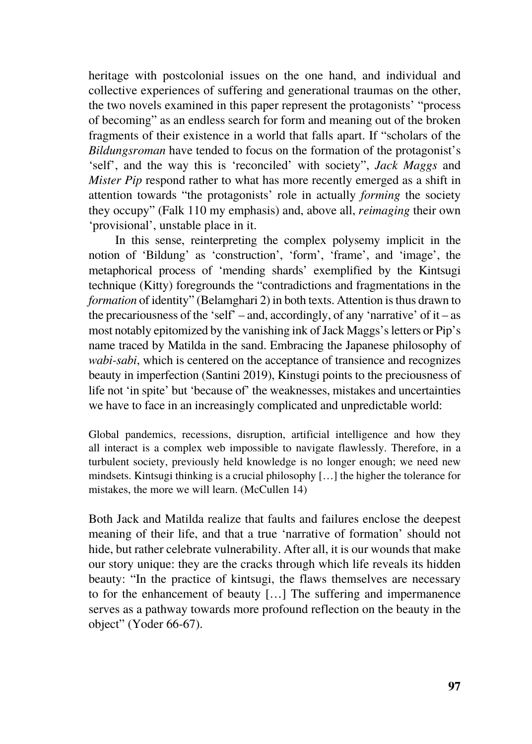heritage with postcolonial issues on the one hand, and individual and collective experiences of suffering and generational traumas on the other, the two novels examined in this paper represent the protagonists' "process of becoming" as an endless search for form and meaning out of the broken fragments of their existence in a world that falls apart. If "scholars of the *Bildungsroman* have tended to focus on the formation of the protagonist's 'self', and the way this is 'reconciled' with society", *Jack Maggs* and *Mister Pip* respond rather to what has more recently emerged as a shift in attention towards "the protagonists' role in actually *forming* the society they occupy" (Falk 110 my emphasis) and, above all, *reimaging* their own 'provisional', unstable place in it.

In this sense, reinterpreting the complex polysemy implicit in the notion of 'Bildung' as 'construction', 'form', 'frame', and 'image', the metaphorical process of 'mending shards' exemplified by the Kintsugi technique (Kitty) foregrounds the "contradictions and fragmentations in the *formation* of identity" (Belamghari 2) in both texts. Attention is thus drawn to the precariousness of the 'self' – and, accordingly, of any 'narrative' of it – as most notably epitomized by the vanishing ink of Jack Maggs's letters or Pip's name traced by Matilda in the sand. Embracing the Japanese philosophy of *wabi-sabi*, which is centered on the acceptance of transience and recognizes beauty in imperfection (Santini 2019), Kinstugi points to the preciousness of life not 'in spite' but 'because of' the weaknesses, mistakes and uncertainties we have to face in an increasingly complicated and unpredictable world:

Global pandemics, recessions, disruption, artificial intelligence and how they all interact is a complex web impossible to navigate flawlessly. Therefore, in a turbulent society, previously held knowledge is no longer enough; we need new mindsets. Kintsugi thinking is a crucial philosophy […] the higher the tolerance for mistakes, the more we will learn. (McCullen 14)

Both Jack and Matilda realize that faults and failures enclose the deepest meaning of their life, and that a true 'narrative of formation' should not hide, but rather celebrate vulnerability. After all, it is our wounds that make our story unique: they are the cracks through which life reveals its hidden beauty: "In the practice of kintsugi, the flaws themselves are necessary to for the enhancement of beauty […] The suffering and impermanence serves as a pathway towards more profound reflection on the beauty in the object" (Yoder 66-67).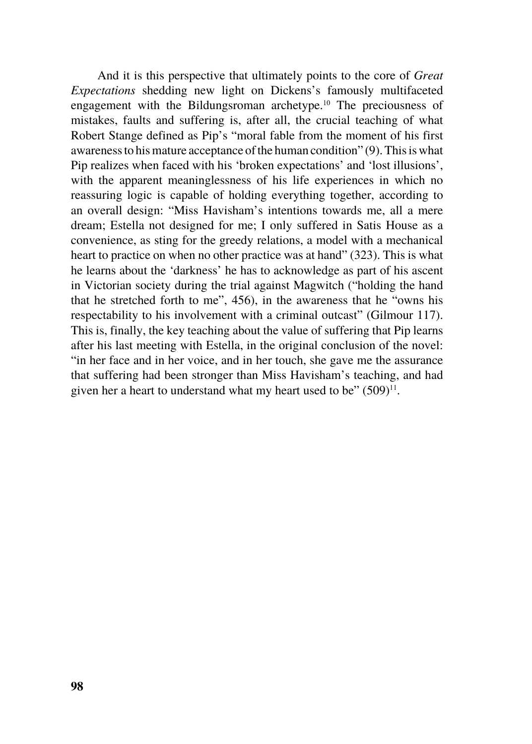And it is this perspective that ultimately points to the core of *Great Expectations* shedding new light on Dickens's famously multifaceted engagement with the Bildungsroman archetype.10 The preciousness of mistakes, faults and suffering is, after all, the crucial teaching of what Robert Stange defined as Pip's "moral fable from the moment of his first awareness to his mature acceptance of the human condition" (9). This is what Pip realizes when faced with his 'broken expectations' and 'lost illusions', with the apparent meaninglessness of his life experiences in which no reassuring logic is capable of holding everything together, according to an overall design: "Miss Havisham's intentions towards me, all a mere dream; Estella not designed for me; I only suffered in Satis House as a convenience, as sting for the greedy relations, a model with a mechanical heart to practice on when no other practice was at hand" (323). This is what he learns about the 'darkness' he has to acknowledge as part of his ascent in Victorian society during the trial against Magwitch ("holding the hand that he stretched forth to me", 456), in the awareness that he "owns his respectability to his involvement with a criminal outcast" (Gilmour 117). This is, finally, the key teaching about the value of suffering that Pip learns after his last meeting with Estella, in the original conclusion of the novel: "in her face and in her voice, and in her touch, she gave me the assurance that suffering had been stronger than Miss Havisham's teaching, and had given her a heart to understand what my heart used to be"  $(509)^{11}$ .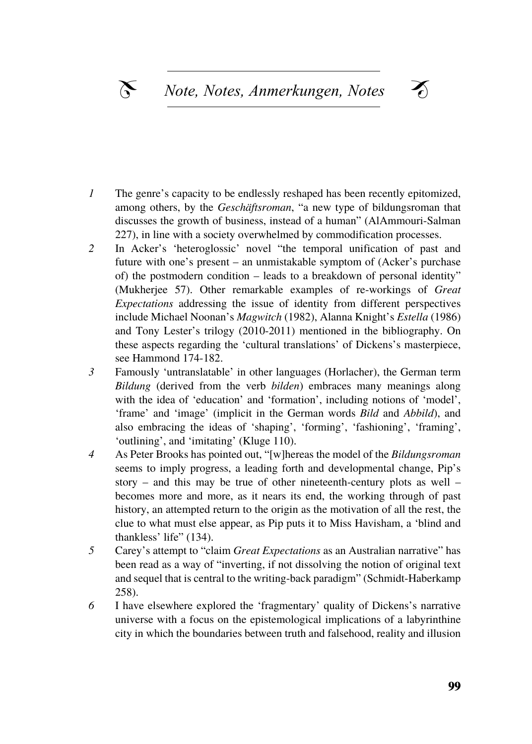- In gene s capacity to be entiressly resingled has been recently ephomized, among others, by the *Geschäftsroman*, "a new type of bildungsroman that discusses the growth of business, instead of a human" (AlAmmouri-Salman discusses the growth of business, instead of a human" (AlAmmouri-Salman discusses the growth of business, instead of a numan (ATAInmodification 227), in line with a society overwhelmed by commodification processes.  $z_{27}$ , in the with a society overwhenied *1* The genre's capacity to be endlessly reshaped has been recently epitomized,
- 2 In Acker's 'heteroglossic' novel "the temporal unification of past and future with one's present – an unmistakable symptom of (Acker's purchase of) the postmodern condition – leads to a breakdown of personal identity"  $\overline{a}$ (Mukherjee 57). Other remarkable examples of re-workings of *Great* Expectations addressing the issue of identity from different perspectives include Michael Noonan's *Magwitch* (1982), Alanna Knight's *Estella* (1986) and Tony Lester's trilogy (2010-2011) mentioned in the bibliography. On these aspects regarding the 'cultural translations' of Dickens's masterpiece, see Hammond  $1/4-182$ . see Hammond 174-182.
- 3 Famously 'untranslatable' in other languages (Horlacher), the German term Bildung (derived from the verb *bilden*) embraces many meanings along with the idea of 'education' and 'formation', including notions of 'model', 'frame' and 'image' (implicit in the German words *Bild* and *Abbild*), and also embracing the ideas of 'shaping', 'forming', 'fashioning', 'framing', 'outlining', and 'imitating' (Kluge 110).
- 4 As Peter Brooks has pointed out, "[w]hereas the model of the *Bildungsroman* seems to imply progress, a leading forth and developmental change, Pip's story – and this may be true of other nineteenth-century plots as well – becomes more and more, as it nears its end, the working through of past history, an attempted return to the origin as the motivation of all the rest, the clue to what must else appear, as Pip puts it to Miss Havisham, a 'blind and thankless' life"  $(134)$ .
- 5 Carey's attempt to "claim *Great Expectations* as an Australian narrative" has been read as a way of "inverting, if not dissolving the notion of original text and sequel that is central to the writing-back paradigm" (Schmidt-Haberkamp  $258$ ). 258).
- 6 I have elsewhere explored the 'fragmentary' quality of Dickens's narrative universe with a focus on the epistemological implications of a labyrinthine city in which the boundaries between truth and falsehood, reality and illusion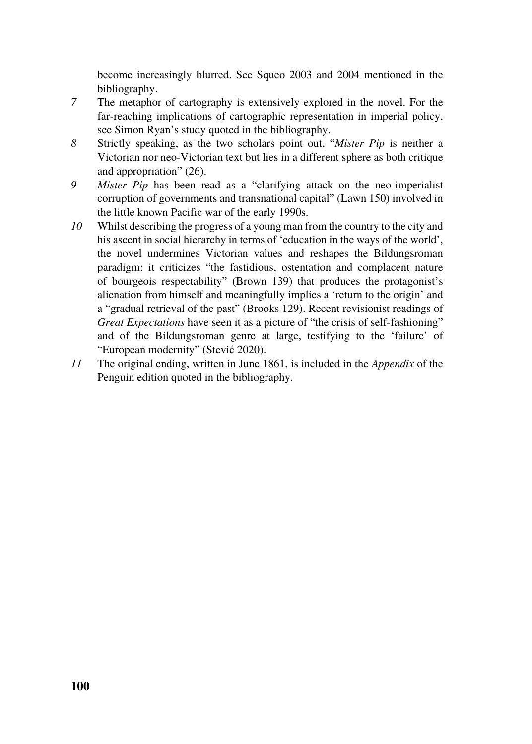become increasingly blurred. See Squeo 2003 and 2004 mentioned in the bibliography.

- *7* The metaphor of cartography is extensively explored in the novel. For the far-reaching implications of cartographic representation in imperial policy, see Simon Ryan's study quoted in the bibliography.
- *8* Strictly speaking, as the two scholars point out, "*Mister Pip* is neither a Victorian nor neo-Victorian text but lies in a different sphere as both critique and appropriation" (26).
- *9 Mister Pip* has been read as a "clarifying attack on the neo-imperialist corruption of governments and transnational capital" (Lawn 150) involved in the little known Pacific war of the early 1990s.
- *10* Whilst describing the progress of a young man from the country to the city and his ascent in social hierarchy in terms of 'education in the ways of the world', the novel undermines Victorian values and reshapes the Bildungsroman paradigm: it criticizes "the fastidious, ostentation and complacent nature of bourgeois respectability" (Brown 139) that produces the protagonist's alienation from himself and meaningfully implies a 'return to the origin' and a "gradual retrieval of the past" (Brooks 129). Recent revisionist readings of *Great Expectations* have seen it as a picture of "the crisis of self-fashioning" and of the Bildungsroman genre at large, testifying to the 'failure' of "European modernity" (Stević 2020).
- *11* The original ending, written in June 1861, is included in the *Appendix* of the Penguin edition quoted in the bibliography.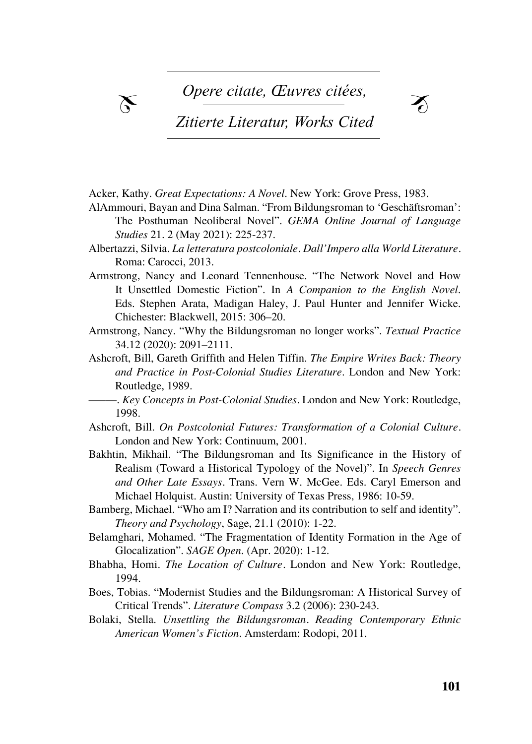$\chi$  Opere citate, *Œuvres* citées,



## *Zitierte Literatur, Works Cited*

Acker, Kathy. *Great Expectations: A Novel*. New York: Grove Press, 1983.

- Barash, david p. Barash, nanelle. *Madame Bovary's Ovaries. A Darwinian Look* AlAmmouri, Bayan and Dina Salman. "From Bildungsroman to 'Geschäftsroman': The Posthuman Neoliberal Novel". *GEMA Online Journal of Language* Bartalesi, lorenzo. *Estetica evoluzionistica. Darwin e l'origine del senso estetico*. *Studies* 21. 2 (May 2021): 225-237.
- Albertazzi, Silvia. *La letteratura postcoloniale. Dall'Impero alla World Literature*. Benus: Carocci, 2013.
- Armstrong, Nancy and Leonard Tennenhouse. "The Network Novel and How It Unsettled Domestic Fiction". In *A Companion to the English Novel*. Bölsche, wilhelm. *Die naturwissenschaftlichen Grundlagen der Poesie. Prole-*Eds. Stephen Arata, Madigan Haley, J. Paul Hunter and Jennifer Wicke. *gomena einer realistischen Ästhetik* [1887]. tübingen: niemeyer, 1976. Chichester: Blackwell, 2015: 306–20.

Armstrong, Nancy. "Why the Bildungsroman no longer works". *Textual Practice* den künsten". in *Literaturwissenschaft als Lebenwissenschaft. Programm –* 34.12 (2020): 2091–2111.

Ashcroft, Bill, Gareth Griffith and Helen Tiffin. *The Empire Writes Back: Theory* and Practice in Post-Colonial Studies Literature. London and New York: calabrese, stefano. "introduzione". in *Neuronarratologia. Il futuro dell'analisi* Routledge, 1989.

*dela accordings, 1999*. *Colonial Studies.* London and New York: Routledge, *and New York: Routledge*,  $.1998.$ 

- cometa, michele. "la letteratura necessaria. sul confine tra letteratura ed evolu-Ashcroft, Bill. *On Postcolonial Futures: Transformation of a Colonial Culture.*  zione". *Between* 1 (2011): 1-28. London and New York: Continuum, 2001.
- dissanayake, ellen. *Homo Aestheticus. Where Art Comes From and Why*. Bakhtin, Mikhail. "The Bildungsroman and Its Significance in the History of seattle/london: university of washington press, 1995. Realism (Toward a Historical Typology of the Novel)". In *Speech Genres*  eibl, karl. *Animal poeta. Bausteine der biologischen Kultur- und Literaturtheorie*. and Other Late Essays. Trans. Vern W. McGee. Eds. Caryl Emerson and **Mathematical Expanses** <u>i</u> inchestratività di controllatività di controllatività di controllatività di controllatività di controllatività<br>Controllatività di controllatività di controllatività di controllatività di controllatività di controllativ Michael Holquist. Austin: University of Texas Press, 1986: 10-59.
- Bamberg, Michael. "Who am I? Narration and its contribution to self and identity". *Freury and Fsychology*, sage, 21.1 (2010). 1-22. *Theory and Psychology*, Sage, 21.1 (2010): 1-22.
- Belamghari, Mohamed. "The Fragmentation of Identity Formation in the Age of **mocanzation** *. SAGE Open.* (Apr. 2020): 1-12. Glocalization". *SAGE Open*. (Apr. 2020): 1-12.
- Bhabha, Homi. *The Location of Culture*. London and New York: Routledge, 1994.
- 1994.<br>Boes, Tobias. "Modernist Studies and the Bildungsroman: A Historical Survey of montani, pietro. *Bioestetica. Senso comune, tecnica e arte nell'età della globaliz-*Critical Trends". *Literature Compass* 3.2 (2006): 230-243.
- Bolaki, Stella. *Unsettling the Bildungsroman. Reading Contemporary Ethnic American Women's Fiction*. Amsterdam: Rodopi, 2011.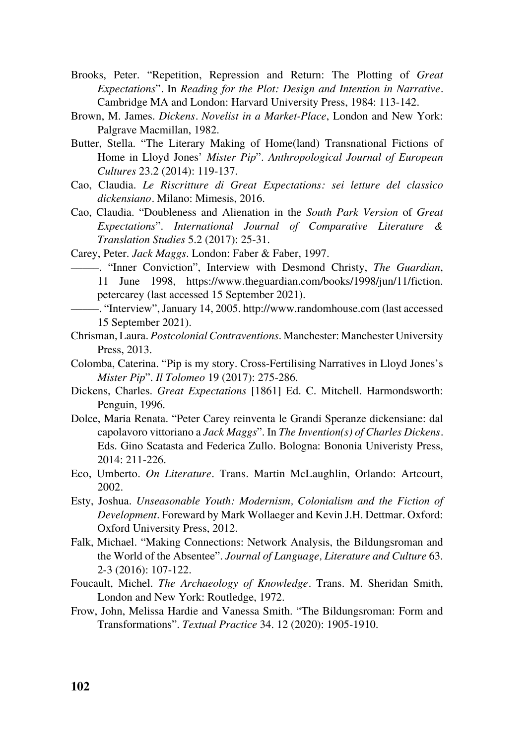- Brooks, Peter. "Repetition, Repression and Return: The Plotting of *Great Expectations*"*.* In *Reading for the Plot: Design and Intention in Narrative.*  Cambridge MA and London: Harvard University Press, 1984: 113-142.
- Brown, M. James. *Dickens. Novelist in a Market-Place*, London and New York: Palgrave Macmillan, 1982.
- Butter, Stella. "The Literary Making of Home(land) Transnational Fictions of Home in Lloyd Jones' *Mister Pip*". *Anthropological Journal of European Cultures* 23.2 (2014): 119-137.
- Cao, Claudia. *Le Riscritture di Great Expectations: sei letture del classico dickensiano.* Milano: Mimesis, 2016.
- Cao, Claudia. "Doubleness and Alienation in the *South Park Version* of *Great Expectations*". *International Journal of Comparative Literature & Translation Studies* 5.2 (2017): 25-31.
- Carey, Peter. *Jack Maggs*. London: Faber & Faber, 1997.

–––––. "Inner Conviction", Interview with Desmond Christy, *The Guardian*, 11 June 1998, https://www.theguardian.com/books/1998/jun/11/fiction. petercarey (last accessed 15 September 2021).

- –––––. "Interview", January 14, 2005. http://www.randomhouse.com (last accessed 15 September 2021).
- Chrisman, Laura. *Postcolonial Contraventions*. Manchester: Manchester University Press, 2013.
- Colomba, Caterina. "Pip is my story. Cross-Fertilising Narratives in Lloyd Jones's *Mister Pip*". *Il Tolomeo* 19 (2017): 275-286.
- Dickens, Charles. *Great Expectations* [1861] Ed. C. Mitchell. Harmondsworth: Penguin, 1996.
- Dolce, Maria Renata. "Peter Carey reinventa le Grandi Speranze dickensiane: dal capolavoro vittoriano a *Jack Maggs*". In *The Invention(s) of Charles Dickens.*  Eds. Gino Scatasta and Federica Zullo. Bologna: Bononia Univeristy Press, 2014: 211-226.
- Eco, Umberto. *On Literature*. Trans. Martin McLaughlin, Orlando: Artcourt, 2002.
- Esty, Joshua. *Unseasonable Youth: Modernism, Colonialism and the Fiction of Development*. Foreward by Mark Wollaeger and Kevin J.H. Dettmar. Oxford: Oxford University Press, 2012.
- Falk, Michael. "Making Connections: Network Analysis, the Bildungsroman and the World of the Absentee". *Journal of Language, Literature and Culture* 63. 2-3 (2016): 107-122.
- Foucault, Michel. *The Archaeology of Knowledge.* Trans. M. Sheridan Smith, London and New York: Routledge, 1972.
- Frow, John, Melissa Hardie and Vanessa Smith. "The Bildungsroman: Form and Transformations". *Textual Practice* 34. 12 (2020): 1905-1910.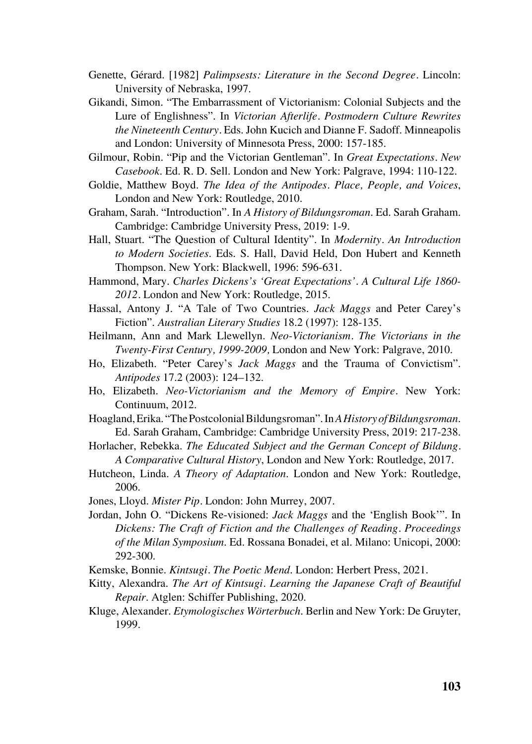- Genette, Gérard. [1982] *Palimpsests: Literature in the Second Degree.* Lincoln: University of Nebraska, 1997.
- Gikandi, Simon. "The Embarrassment of Victorianism: Colonial Subjects and the Lure of Englishness". In *Victorian Afterlife. Postmodern Culture Rewrites the Nineteenth Century.* Eds. John Kucich and Dianne F. Sadoff. Minneapolis and London: University of Minnesota Press, 2000: 157-185.
- Gilmour, Robin. "Pip and the Victorian Gentleman". In *Great Expectations. New Casebook*. Ed. R. D. Sell. London and New York: Palgrave, 1994: 110-122.
- Goldie, Matthew Boyd. *The Idea of the Antipodes. Place, People, and Voices*, London and New York: Routledge, 2010.
- Graham, Sarah. "Introduction". In *A History of Bildungsroman*. Ed. Sarah Graham. Cambridge: Cambridge University Press, 2019: 1-9.
- Hall, Stuart. "The Question of Cultural Identity". In *Modernity. An Introduction to Modern Societies*. Eds. S. Hall, David Held, Don Hubert and Kenneth Thompson. New York: Blackwell, 1996: 596-631.
- Hammond, Mary. *Charles Dickens's 'Great Expectations'. A Cultural Life 1860- 2012.* London and New York: Routledge, 2015.
- Hassal, Antony J. "A Tale of Two Countries. *Jack Maggs* and Peter Carey's Fiction". *Australian Literary Studies* 18.2 (1997): 128-135.
- Heilmann, Ann and Mark Llewellyn. *Neo-Victorianism. The Victorians in the Twenty-First Century, 1999-2009,* London and New York: Palgrave, 2010.
- Ho, Elizabeth. "Peter Carey's *Jack Maggs* and the Trauma of Convictism". *Antipodes* 17.2 (2003): 124–132.
- Ho, Elizabeth. *Neo-Victorianism and the Memory of Empire.* New York: Continuum, 2012.
- Hoagland, Erika. "The Postcolonial Bildungsroman". In *A History of Bildungsroman*. Ed. Sarah Graham, Cambridge: Cambridge University Press, 2019: 217-238.
- Horlacher, Rebekka. *The Educated Subject and the German Concept of Bildung. A Comparative Cultural History*, London and New York: Routledge, 2017.
- Hutcheon, Linda. *A Theory of Adaptation*. London and New York: Routledge, 2006.
- Jones, Lloyd. *Mister Pip.* London: John Murrey, 2007.
- Jordan, John O. "Dickens Re-visioned: *Jack Maggs* and the 'English Book'". In *Dickens: The Craft of Fiction and the Challenges of Reading. Proceedings of the Milan Symposium*. Ed. Rossana Bonadei, et al. Milano: Unicopi, 2000: 292-300.
- Kemske, Bonnie. *Kintsugi. The Poetic Mend*. London: Herbert Press, 2021.
- Kitty, Alexandra. *The Art of Kintsugi. Learning the Japanese Craft of Beautiful Repair*. Atglen: Schiffer Publishing, 2020.
- Kluge, Alexander. *Etymologisches Wörterbuch*. Berlin and New York: De Gruyter, 1999.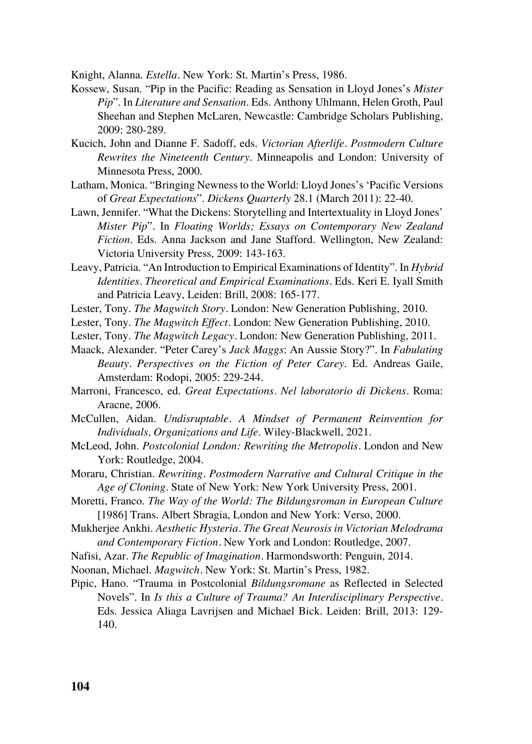Knight, Alanna. *Estella.* New York: St. Martin's Press, 1986.

- Kossew, Susan. "Pip in the Pacific: Reading as Sensation in Lloyd Jones's *Mister Pip*". In *Literature and Sensation*. Eds. Anthony Uhlmann, Helen Groth, Paul Sheehan and Stephen McLaren, Newcastle: Cambridge Scholars Publishing, 2009: 280-289.
- Kucich, John and Dianne F. Sadoff, eds. *Victorian Afterlife. Postmodern Culture Rewrites the Nineteenth Century*. Minneapolis and London: University of Minnesota Press, 2000.
- Latham, Monica. "Bringing Newness to the World: Lloyd Jones's 'Pacific Versions of *Great Expectations*". *Dickens Quarterly* 28.1 (March 2011): 22-40.
- Lawn, Jennifer. "What the Dickens: Storytelling and Intertextuality in Lloyd Jones' *Mister Pip*". In *Floating Worlds; Essays on Contemporary New Zealand Fiction*. Eds. Anna Jackson and Jane Stafford. Wellington, New Zealand: Victoria University Press, 2009: 143-163.
- Leavy, Patricia. "An Introduction to Empirical Examinations of Identity". In *Hybrid Identities. Theoretical and Empirical Examinations.* Eds. Keri E. Iyall Smith and Patricia Leavy, Leiden: Brill, 2008: 165-177.
- Lester, Tony. *The Magwitch Story.* London: New Generation Publishing, 2010.
- Lester, Tony. *The Magwitch Effect.* London: New Generation Publishing, 2010.
- Lester, Tony. *The Magwitch Legacy.* London: New Generation Publishing, 2011.
- Maack, Alexander. "Peter Carey's *Jack Maggs*: An Aussie Story?". In *Fabulating Beauty. Perspectives on the Fiction of Peter Carey*. Ed. Andreas Gaile, Amsterdam: Rodopi, 2005: 229-244.
- Marroni, Francesco, ed. *Great Expectations. Nel laboratorio di Dickens.* Roma: Aracne, 2006.
- McCullen, Aidan. *Undisruptable. A Mindset of Permanent Reinvention for Individuals, Organizations and Life*. Wiley-Blackwell, 2021.
- McLeod, John. *Postcolonial London: Rewriting the Metropolis.* London and New York: Routledge, 2004.
- Moraru, Christian. *Rewriting. Postmodern Narrative and Cultural Critique in the Age of Cloning.* State of New York: New York University Press, 2001.
- Moretti, Franco. *The Way of the World: The Bildungsroman in European Culture* [1986] Trans. Albert Sbragia, London and New York: Verso, 2000.
- Mukherjee Ankhi. *Aesthetic Hysteria. The Great Neurosis in Victorian Melodrama and Contemporary Fiction.* New York and London: Routledge, 2007.
- Nafisi, Azar. *The Republic of Imagination.* Harmondsworth: Penguin, 2014.
- Noonan, Michael. *Magwitch.* New York: St. Martin's Press, 1982.
- Pipic, Hano. "Trauma in Postcolonial *Bildungsromane* as Reflected in Selected Novels". In *Is this a Culture of Trauma? An Interdisciplinary Perspective.*  Eds. Jessica Aliaga Lavrijsen and Michael Bick. Leiden: Brill, 2013: 129- 140.